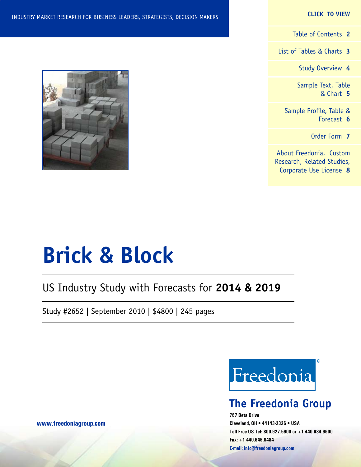#### **CLICK TO VIEW**

[Table of Contents](#page-1-0) **2**

[List of Tables & Charts](#page-2-0) **3**

[Study Overview](#page-3-0) **4**

[Sample Text, Table](#page-4-0) [& Chart](#page-4-0) **5**

[Sample Profile, Table &](#page-5-0) [Forecast](#page-5-0) **6**

[Order Form](#page-6-0) **7**

[About Freedonia, Custom](#page-7-0) [Research, Related Studies,](#page-7-0) [Corporate Use License](#page-7-0) **8**



# **Brick & Block**

## US Industry Study with Forecasts for **2014 & 2019**

Study #2652 | September 2010 | \$4800 | 245 pages



## **The Freedonia Group**

**767 Beta Drive Cleveland, OH • 44143-2326 • USA Toll Free US Tel: 800.927.5900 or +1 440.684.9600 Fax: +1 440.646.0484 E-mail: [info@freedoniagroup.com](mailto:info@freedoniagroup.com)**

**[www.freedoniagroup.com](http://www.freedoniagroup.com/Home.aspx?ReferrerId=FM-Bro)**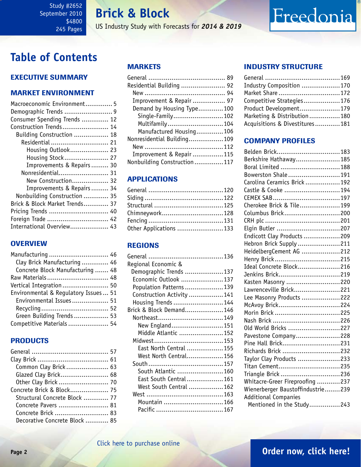## **Brick & Block**

US Industry Study with Forecasts for *2014 & 2019*

## <span id="page-1-0"></span>**Table of Contents**

## Executive Summary

## Market EnvironmenT

| Macroeconomic Environment 5    |  |
|--------------------------------|--|
|                                |  |
| Consumer Spending Trends  12   |  |
| Construction Trends 14         |  |
| Building Construction  18      |  |
| Residential  21                |  |
| Housing Outlook 23             |  |
| Housing Stock 27               |  |
| Improvements & Repairs 30      |  |
| Nonresidential 31              |  |
| New Construction 32            |  |
| Improvements & Repairs 34      |  |
| Nonbuilding Construction  35   |  |
| Brick & Block Market Trends 37 |  |
| Pricing Trends  40             |  |
| Foreign Trade  42              |  |
| International Overview 43      |  |

### **OVERVIEW**

| Manufacturing  46                     |  |
|---------------------------------------|--|
| Clay Brick Manufacturing  46          |  |
| Concrete Block Manufacturing  48      |  |
| Raw Materials 48                      |  |
| Vertical Integration 50               |  |
| Environmental & Regulatory Issues  51 |  |
| Environmental Issues 51               |  |
|                                       |  |
| Green Building Trends  53             |  |
| Competitive Materials  54             |  |

## **PRODUCTS**

| Common Clay Brick 63          |  |
|-------------------------------|--|
| Glazed Clay Brick 68          |  |
| Other Clay Brick  70          |  |
| Concrete Brick & Block 75     |  |
| Structural Concrete Block  77 |  |
| Concrete Pavers  81           |  |
| Concrete Brick  83            |  |
| Decorative Concrete Block  85 |  |

## MARKETS

| Residential Building  92    |  |
|-----------------------------|--|
|                             |  |
| Improvement & Repair  97    |  |
| Demand by Housing Type100   |  |
| Single-Family102            |  |
| Multifamily104              |  |
| Manufactured Housing106     |  |
| Nonresidential Building109  |  |
|                             |  |
| Improvement & Repair 115    |  |
| Nonbuilding Construction117 |  |

## APPLICATIONS

| Chimneywork128         |  |
|------------------------|--|
|                        |  |
| Other Applications 133 |  |

## REGIONS

| Regional Economic &       |  |
|---------------------------|--|
| Demographic Trends 137    |  |
| Economic Outlook 137      |  |
| Population Patterns 139   |  |
| Construction Activity 141 |  |
| Housing Trends 144        |  |
| Brick & Block Demand 146  |  |
| Northeast149              |  |
| New England151            |  |
| Middle Atlantic 152       |  |
|                           |  |
| East North Central 155    |  |
| West North Central156     |  |
|                           |  |
| South Atlantic 160        |  |
| East South Central 161    |  |
| West South Central 162    |  |
|                           |  |
| Mountain 166              |  |
|                           |  |
|                           |  |

## INDUSTRY STRUCTURE

| Industry Composition 170       |  |
|--------------------------------|--|
| Market Share  172              |  |
| Competitive Strategies176      |  |
| Product Development179         |  |
| Marketing & Distribution180    |  |
| Acquisitions & Divestitures181 |  |

Freedonia

## Company Profiles

| Belden Brick183                   |  |
|-----------------------------------|--|
| Berkshire Hathaway185             |  |
| Boral Limited 188                 |  |
| Bowerston Shale191                |  |
| Carolina Ceramics Brick 192       |  |
| Castle & Cooke 194                |  |
|                                   |  |
| Cherokee Brick & Tile199          |  |
| Columbus Brick200                 |  |
|                                   |  |
| Elgin Butler 207                  |  |
| Endicott Clay Products 209        |  |
| Hebron Brick Supply 211           |  |
| HeidelbergCement AG 212           |  |
| Henry Brick215                    |  |
| Ideal Concrete Block216           |  |
| Jenkins Brick219                  |  |
| Kasten Masonry 220                |  |
| Lawrenceville Brick221            |  |
| Lee Masonry Products 222          |  |
| McAvoy Brick224                   |  |
| Morin Brick 225                   |  |
|                                   |  |
| Old World Bricks 227              |  |
| Pavestone Company228              |  |
| Pine Hall Brick231                |  |
| Richards Brick 232                |  |
| Taylor Clay Products 233          |  |
| Titan Cement235                   |  |
| Triangle Brick 236                |  |
| Whitacre-Greer Fireproofing 237   |  |
| Wienerberger Baustoffindustrie239 |  |
| <b>Additional Companies</b>       |  |
| Mentioned in the Study243         |  |
|                                   |  |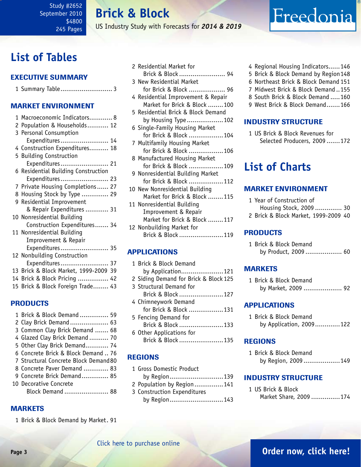**Brick & Block**

US Industry Study with Forecasts for *2014 & 2019*

## <span id="page-2-0"></span>**List of Tables**

## Executive Summary

|--|--|

### Market EnvironmenT

| 1 Macroeconomic Indicators 8          |
|---------------------------------------|
| 2 Population & Households 12          |
| 3 Personal Consumption                |
| Expenditures 14                       |
| 4 Construction Expenditures 18        |
| 5 Building Construction               |
| Expenditures 21                       |
| 6 Residential Building Construction   |
| Expenditures 23                       |
| 7 Private Housing Completions 27      |
| 8 Housing Stock by Type  29           |
| 9 Residential Improvement             |
| & Repair Expenditures  31             |
| 10 Nonresidential Building            |
| Construction Expenditures 34          |
| 11 Nonresidential Building            |
| Improvement & Repair                  |
| Expenditures 35                       |
| 12 Nonbuilding Construction           |
| Expenditures 37                       |
| 13 Brick & Block Market, 1999-2009 39 |
| 14 Brick & Block Pricing  42          |
| 15 Brick & Block Foreign Trade 43     |

## PRODUCTS

| 1 Brick & Block Demand  59            |  |
|---------------------------------------|--|
| 2 Clay Brick Demand  63               |  |
| 3 Common Clay Brick Demand  68        |  |
| 4 Glazed Clay Brick Demand  70        |  |
| 5 Other Clay Brick Demand 74          |  |
| 6 Concrete Brick & Block Demand  76   |  |
| 7 Structural Concrete Block Demand 80 |  |
| 8 Concrete Paver Demand  83           |  |
| 9 Concrete Brick Demand 85            |  |
| 10 Decorative Concrete                |  |
| Block Demand  88                      |  |
|                                       |  |

## **MARKETS**

1 Brick & Block Demand by Market. 91

| 2 Residential Market for           |
|------------------------------------|
| Brick & Block  94                  |
| 3 New Residential Market           |
| for Brick & Block  96              |
| 4 Residential Improvement & Repair |
| Market for Brick & Block 100       |
| 5 Residential Brick & Block Demand |
| by Housing Type102                 |
| 6 Single-Family Housing Market     |
| for Brick & Block 104              |
| 7 Multifamily Housing Market       |
| for Brick & Block 106              |
| 8 Manufactured Housing Market      |
| for Brick & Block 109              |
| 9 Nonresidential Building Market   |
| for Brick & Block 112              |
| 10 New Nonresidential Building     |
| Market for Brick & Block 115       |
| 11 Nonresidential Building         |
| Improvement & Repair               |
| Market for Brick & Block 117       |
| 12 Nonbuilding Market for          |
| Brick & Block<br>119               |

## APPLICATIONS

| 1 Brick & Block Demand                |
|---------------------------------------|
| by Application121                     |
| 2 Siding Demand for Brick & Block 125 |
| 3 Structural Demand for               |
| Brick & Block 127                     |
| 4 Chimneywork Demand                  |
| for Brick & Block 131                 |

- 5 Fencing Demand for Brick & Block .......................133
- 6 Other Applications for Brick & Block .......................135

## REGIONS

- 1 Gross Domestic Product by Region............................139 2 Population by Region...............141
- 3 Construction Expenditures by Region............................143

4 Regional Housing Indicators......146

Freedonia

- 5 Brick & Block Demand by Region148
- 6 Northeast Brick & Block Demand 151
- 7 Midwest Brick & Block Demand ..155
- 8 South Brick & Block Demand .....160
- 9 West Brick & Block Demand.......166

### INDUSTRY STRUCTURE

1 US Brick & Block Revenues for Selected Producers, 2009 .......172

## **List of Charts**

### Market EnvironmenT

| 1 Year of Construction of            |  |
|--------------------------------------|--|
| Housing Stock, 2009 30               |  |
| 2 Brick & Block Market, 1999-2009 40 |  |

### PRODUCTS

| 1 Brick & Block Demand |                      |  |
|------------------------|----------------------|--|
|                        | by Product, 2009  60 |  |

### MARKETS

1 Brick & Block Demand by Market, 2009 .................... 92

### APPLICATIONS

1 Brick & Block Demand by Application, 2009.............122

### REGIONS

1 Brick & Block Demand by Region, 2009 ...................149

### INDUSTRY STRUCTURE

1 US Brick & Block Market Share, 2009 ...............174

## **Page 3 [Order now, click here!](#page-6-0)**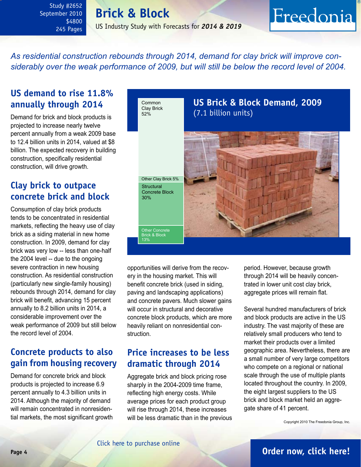## **Brick & Block** US Industry Study with Forecasts for *2014 & 2019*

## <span id="page-3-0"></span>*As residential construction rebounds through 2014, demand for clay brick will improve considerably over the weak performance of 2009, but will still be below the record level of 2004.*

## **US demand to rise 11.8% annually through 2014**

Demand for brick and block products is projected to increase nearly twelve percent annually from a weak 2009 base to 12.4 billion units in 2014, valued at \$8 billion. The expected recovery in building construction, specifically residential construction, will drive growth.

## **Clay brick to outpace concrete brick and block**

Consumption of clay brick products tends to be concentrated in residential markets, reflecting the heavy use of clay brick as a siding material in new home construction. In 2009, demand for clay brick was very low -- less than one-half the 2004 level -- due to the ongoing severe contraction in new housing construction. As residential construction (particularly new single-family housing) rebounds through 2014, demand for clay brick will benefit, advancing 15 percent annually to 8.2 billion units in 2014, a considerable improvement over the weak performance of 2009 but still below the record level of 2004.

## **Concrete products to also gain from housing recovery**

Demand for concrete brick and block products is projected to increase 6.9 percent annually to 4.3 billion units in 2014. Although the majority of demand will remain concentrated in nonresidential markets, the most significant growth



opportunities will derive from the recovery in the housing market. This will benefit concrete brick (used in siding, paving and landscaping applications) and concrete pavers. Much slower gains will occur in structural and decorative concrete block products, which are more heavily reliant on nonresidential construction.

## **Price increases to be less dramatic through 2014**

Aggregate brick and block pricing rose sharply in the 2004-2009 time frame, reflecting high energy costs. While average prices for each product group will rise through 2014, these increases will be less dramatic than in the previous period. However, because growth through 2014 will be heavily concentrated in lower unit cost clay brick, aggregate prices will remain flat.

Freedonia

Several hundred manufacturers of brick and block products are active in the US industry. The vast majority of these are relatively small producers who tend to market their products over a limited geographic area. Nevertheless, there are a small number of very large competitors who compete on a regional or national scale through the use of multiple plants located throughout the country. In 2009, the eight largest suppliers to the US brick and block market held an aggregate share of 41 percent.

Copyright 2010 The Freedonia Group, Inc.

## **Page 4 [Order now, click here!](#page-6-0)**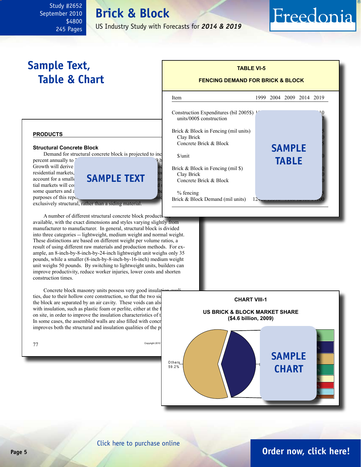## **Brick & Block**

US Industry Study with Forecasts for *2014 & 2019*

 $\overline{\phantom{0}}$ 

## <span id="page-4-0"></span>**Sample Text, Table & Chart**

## **FENCING DEMAND FOR BRICK & BLOCK**

**TABLE VI-5**

Item 1999 2004 2009 2014 2019

Freedonia

**sample**

**table**

#### Construction Expenditures (bil 2005\$)  $1<sup>2</sup>$ units/000\$ construction

Brick & Block in Fencing (mil units) Clay Brick Concrete Brick & Block

\$/unit 0.45 0.56 0.71 0.75 0.80

Brick  $& Block$  in Fencing (mil  $\$$ ) Clay Brick Concrete Brick & Block

% fencing Brick & Block Demand (mil units)

#### **products**

#### **Structural Concrete Block**

Demand for structural concrete block is projected to inc

percent annually to <sup>2</sup> Growth will derive residential markets, account for a smaller **SAMPLE TEXT** tial markets will continue some quarters and  $\varepsilon$ purposes of this report

exclusively structural, rather than a siding material.

A number of different structural concrete block product available, with the exact dimensions and styles varying slightly from manufacturer to manufacturer. In general, structural block is divided into three categories -- lightweight, medium weight and normal weight. These distinctions are based on different weight per volume ratios, a result of using different raw materials and production methods. For example, an 8-inch-by-8-inch-by-24-inch lightweight unit weighs only 35 pounds, while a smaller (8-inch-by-8-inch-by-16-inch) medium weight unit weighs 50 pounds. By switching to lightweight units, builders can improve productivity, reduce worker injuries, lower costs and shorten construction times.

Concrete block masonry units possess very good insulation ties, due to their hollow core construction, so that the two sid the block are separated by an air cavity. These voids can also with insulation, such as plastic foam or perlite, either at the f on site, in order to improve the insulation characteristics of  $t$ In some cases, the assembled walls are also filled with concr improves both the structural and insulation qualities of the p







## **Page 5 [Order now, click here!](#page-6-0)**

### [Click here to purchase online](http://www.freedoniagroup.com/DocumentDetails.aspx?Referrerid=FM-Bro&StudyID=2652)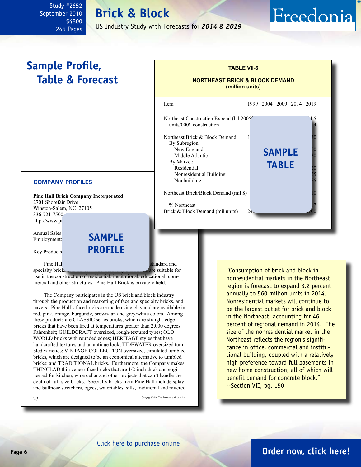## **Brick & Block**

US Industry Study with Forecasts for *2014 & 2019*

## <span id="page-5-0"></span>**Sample Profile, Table & Forecast**

#### **COMPANY PROFILES**

**Pine Hall Brick Company Incorporated** 2701 Shorefair Drive Winston-Salem, NC 27105 336-721-7500 http://www.pi

Annual Sales Employment:

Key Products **PROFILE sample**

Pine Hall Brick Company manufactures and standard and standard and standard and standard and standard and standard and standard and standard and standard and standard and standard and standard and standard and standard and specialty bricks **and participates** are suitable for

use in the construction of residential, institutional, educational, commercial and other structures. Pine Hall Brick is privately held.

The Company participates in the US brick and block industry through the production and marketing of face and specialty bricks, and pavers. Pine Hall's face bricks are made using clay and are available in red, pink, orange, burgundy, brown/tan and grey/white colors. Among these products are CLASSIC series bricks, which are straight-edge bricks that have been fired at temperatures greater than 2,000 degrees Fahrenheit; GUILDCRAFT oversized, rough-textured types; OLD WORLD bricks with rounded edges; HERITAGE styles that have handcrafted textures and an antique look; TIDEWATER oversized tumbled varieties; VINTAGE COLLECTION oversized, simulated tumbled bricks, which are designed to be an economical alternative to tumbled bricks; and TRADITIONAL bricks. Furthermore, the Company makes THINCLAD thin veneer face bricks that are 1/2-inch thick and engineered for kitchen, wine cellar and other projects that can't handle the depth of full-size bricks. Specialty bricks from Pine Hall include splay and bullnose stretchers, ogees, watertables, sills, traditional and mitered

231 Copyright 2010 The Freedonia Group, Inc.



**TABLE VII-6**

Freedonia

"Consumption of brick and block in nonresidential markets in the Northeast region is forecast to expand 3.2 percent annually to 560 million units in 2014. Nonresidential markets will continue to be the largest outlet for brick and block in the Northeast, accounting for 46 percent of regional demand in 2014. The size of the nonresidential market in the Northeast reflects the region's significance in office, commercial and institutional building, coupled with a relatively high preference toward full basements in new home construction, all of which will benefit demand for concrete block." --Section VII, pg. 150

## **Page 6 [Order now, click here!](#page-6-0)**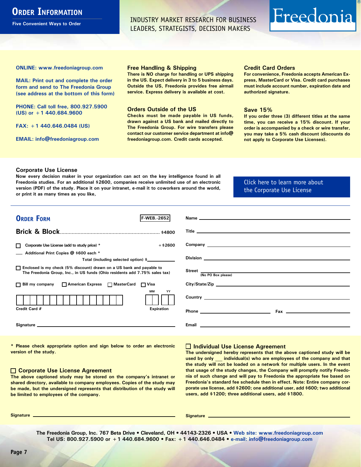## <span id="page-6-0"></span>**ORDER INFORMATION**

**Five Convenient Ways to Order**

INDUSTRY MARKET RESEARCH FOR BUSINESS LEADERS, STRATEGISTS, DECISION MAKERS

# Freedonia

**ONLINE: [www.freedoniagroup.com](http://www.freedoniagroup.com/DocumentDetails.aspx?Referrerid=FM-Bro&StudyID=2652)**

**MAIL: Print out and complete the order form and send to The Freedonia Group (see address at the bottom of this form)**

**PHONE: Call toll free, 800.927.5900 (US) or +1 440.684.9600**

**FAX: +1 440.646.0484 (US)**

**EMAIL: [info@freedoniagroup.com](mailto:info@freedoniagroup.com)**

#### **Free Handling & Shipping**

**There is NO charge for handling or UPS shipping in the US. Expect delivery in 3 to 5 business days. Outside the US, Freedonia provides free airmail service. Express delivery is available at cost.**

#### **Orders Outside of the US**

**Checks must be made payable in US funds, drawn against a US bank and mailed directly to The Freedonia Group. For wire transfers please contact our customer service department at info@ freedoniagroup.com. Credit cards accepted.**

#### **Credit Card Orders**

**For convenience, Freedonia accepts American Express, MasterCard or Visa. Credit card purchases must include account number, expiration date and authorized signature.**

#### **Save 15%**

**If you order three (3) different titles at the same time, you can receive a 15% discount. If your order is accompanied by a check or wire transfer, you may take a 5% cash discount (discounts do not apply to Corporate Use Licenses).**

#### **Corporate Use License**

**Now every decision maker in your organization can act on the key intelligence found in all Freedonia studies. For an additional \$2600, companies receive unlimited use of an electronic version (PDF) of the study. Place it on your intranet, e-mail it to coworkers around the world, or print it as many times as you like,** 

#### [Click here to learn more about](http://www.freedoniagroup.com/pdf/FreedoniaCULBro.pdf)  [the Corporate Use License](http://www.freedoniagroup.com/pdf/FreedoniaCULBro.pdf)

| <b>ORDER FORM</b><br>lf-WEB. 2652                                                                                                                     |                                                                                                                                                                                                                                           |
|-------------------------------------------------------------------------------------------------------------------------------------------------------|-------------------------------------------------------------------------------------------------------------------------------------------------------------------------------------------------------------------------------------------|
|                                                                                                                                                       |                                                                                                                                                                                                                                           |
|                                                                                                                                                       |                                                                                                                                                                                                                                           |
|                                                                                                                                                       |                                                                                                                                                                                                                                           |
| $+$ \$2600<br>Corporate Use License (add to study price) *                                                                                            |                                                                                                                                                                                                                                           |
| Additional Print Copies @ \$600 each *                                                                                                                |                                                                                                                                                                                                                                           |
| Total (including selected option) \$___________                                                                                                       |                                                                                                                                                                                                                                           |
| □ Enclosed is my check (5% discount) drawn on a US bank and payable to<br>The Freedonia Group, Inc., in US funds (Ohio residents add 7.75% sales tax) | Street $\frac{1}{(No PO Box please)}$                                                                                                                                                                                                     |
|                                                                                                                                                       |                                                                                                                                                                                                                                           |
| □ Bill my company □ American Express □ MasterCard □ Visa                                                                                              |                                                                                                                                                                                                                                           |
| MМ<br>YY                                                                                                                                              |                                                                                                                                                                                                                                           |
|                                                                                                                                                       | <b>Country</b> <u>example and the set of the set of the set of the set of the set of the set of the set of the set of the set of the set of the set of the set of the set of the set of the set of the set of the set of the set of t</u> |
| Credit Card #<br><b>Expiration</b>                                                                                                                    |                                                                                                                                                                                                                                           |
|                                                                                                                                                       |                                                                                                                                                                                                                                           |
|                                                                                                                                                       |                                                                                                                                                                                                                                           |
|                                                                                                                                                       |                                                                                                                                                                                                                                           |

**\* Please check appropriate option and sign below to order an electronic version of the study.**

#### **Corporate Use License Agreement**

**The above captioned study may be stored on the company's intranet or shared directory, available to company employees. Copies of the study may be made, but the undersigned represents that distribution of the study will be limited to employees of the company.**

#### **Individual Use License Agreement**

**The undersigned hereby represents that the above captioned study will be used by only \_\_\_ individual(s) who are employees of the company and that the study will not be loaded on a network for multiple users. In the event that usage of the study changes, the Company will promptly notify Freedonia of such change and will pay to Freedonia the appropriate fee based on Freedonia's standard fee schedule then in effect. Note: Entire company corporate use license, add \$2600; one additional user, add \$600; two additional users, add \$1200; three additional users, add \$1800.**

**Signature Signature**

**The Freedonia Group, Inc. 767 Beta Drive • Cleveland, OH • 44143-2326 • USA • [Web site: www.freedoniagroup.com](http://www.freedoniagroup.com/Home.aspx?ReferrerId=FM-Bro) Tel US: 800.927.5900 or +1 440.684.9600 • Fax: +1 440.646.0484 • [e-mail: info@freedoniagroup.com](mailto:info@freedoniagroup.com)**